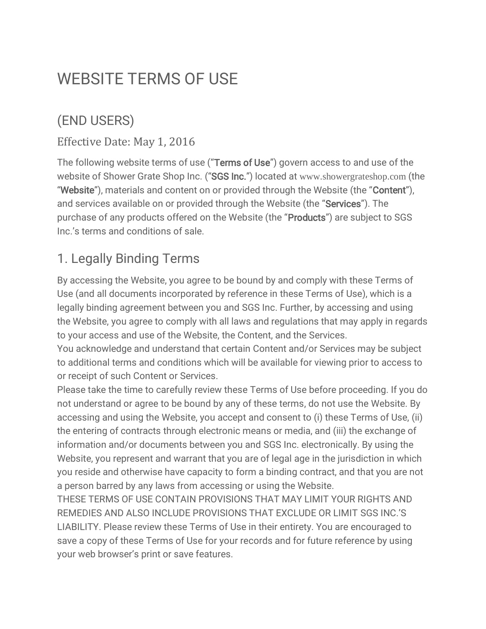# WEBSITE TERMS OF USE

### (END USERS)

#### Effective Date: May 1, 2016

The following website terms of use ("Terms of Use") govern access to and use of the website of Shower Grate Shop Inc. ("SGS Inc.") located at [www.showergrateshop.com](http://www.showergrateshop.com/) (the "Website"), materials and content on or provided through the Website (the "Content"), and services available on or provided through the Website (the "Services"). The purchase of any products offered on the Website (the "Products") are subject to SGS Inc.'s terms and conditions of sale.

### 1. Legally Binding Terms

By accessing the Website, you agree to be bound by and comply with these Terms of Use (and all documents incorporated by reference in these Terms of Use), which is a legally binding agreement between you and SGS Inc. Further, by accessing and using the Website, you agree to comply with all laws and regulations that may apply in regards to your access and use of the Website, the Content, and the Services.

You acknowledge and understand that certain Content and/or Services may be subject to additional terms and conditions which will be available for viewing prior to access to or receipt of such Content or Services.

Please take the time to carefully review these Terms of Use before proceeding. If you do not understand or agree to be bound by any of these terms, do not use the Website. By accessing and using the Website, you accept and consent to (i) these Terms of Use, (ii) the entering of contracts through electronic means or media, and (iii) the exchange of information and/or documents between you and SGS Inc. electronically. By using the Website, you represent and warrant that you are of legal age in the jurisdiction in which you reside and otherwise have capacity to form a binding contract, and that you are not a person barred by any laws from accessing or using the Website.

THESE TERMS OF USE CONTAIN PROVISIONS THAT MAY LIMIT YOUR RIGHTS AND REMEDIES AND ALSO INCLUDE PROVISIONS THAT EXCLUDE OR LIMIT SGS INC.'S LIABILITY. Please review these Terms of Use in their entirety. You are encouraged to save a copy of these Terms of Use for your records and for future reference by using your web browser's print or save features.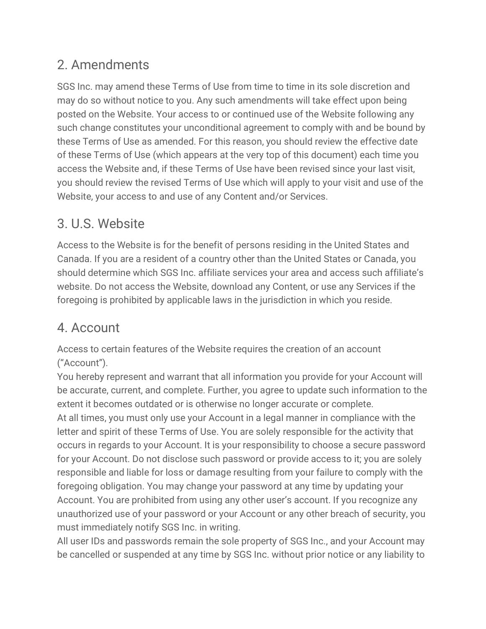### 2. Amendments

SGS Inc. may amend these Terms of Use from time to time in its sole discretion and may do so without notice to you. Any such amendments will take effect upon being posted on the Website. Your access to or continued use of the Website following any such change constitutes your unconditional agreement to comply with and be bound by these Terms of Use as amended. For this reason, you should review the effective date of these Terms of Use (which appears at the very top of this document) each time you access the Website and, if these Terms of Use have been revised since your last visit, you should review the revised Terms of Use which will apply to your visit and use of the Website, your access to and use of any Content and/or Services.

### 3. U.S. Website

Access to the Website is for the benefit of persons residing in the United States and Canada. If you are a resident of a country other than the United States or Canada, you should determine which SGS Inc. affiliate services your area and access such affiliate's website. Do not access the Website, download any Content, or use any Services if the foregoing is prohibited by applicable laws in the jurisdiction in which you reside.

### 4. Account

Access to certain features of the Website requires the creation of an account ("Account").

You hereby represent and warrant that all information you provide for your Account will be accurate, current, and complete. Further, you agree to update such information to the extent it becomes outdated or is otherwise no longer accurate or complete. At all times, you must only use your Account in a legal manner in compliance with the letter and spirit of these Terms of Use. You are solely responsible for the activity that occurs in regards to your Account. It is your responsibility to choose a secure password for your Account. Do not disclose such password or provide access to it; you are solely responsible and liable for loss or damage resulting from your failure to comply with the foregoing obligation. You may change your password at any time by updating your Account. You are prohibited from using any other user's account. If you recognize any unauthorized use of your password or your Account or any other breach of security, you

must immediately notify SGS Inc. in writing. All user IDs and passwords remain the sole property of SGS Inc., and your Account may be cancelled or suspended at any time by SGS Inc. without prior notice or any liability to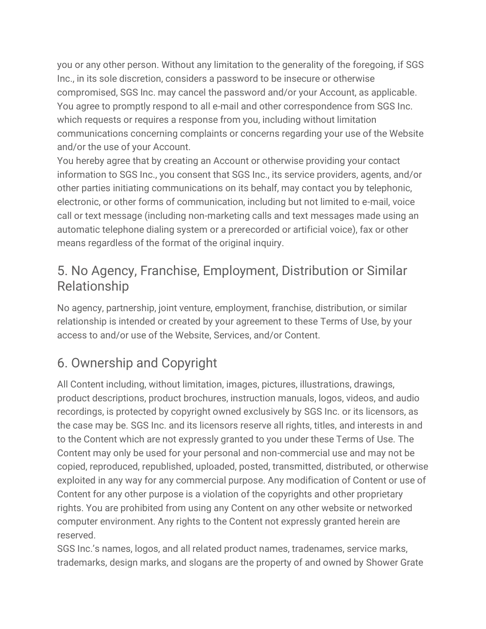you or any other person. Without any limitation to the generality of the foregoing, if SGS Inc., in its sole discretion, considers a password to be insecure or otherwise compromised, SGS Inc. may cancel the password and/or your Account, as applicable. You agree to promptly respond to all e-mail and other correspondence from SGS Inc. which requests or requires a response from you, including without limitation communications concerning complaints or concerns regarding your use of the Website and/or the use of your Account.

You hereby agree that by creating an Account or otherwise providing your contact information to SGS Inc., you consent that SGS Inc., its service providers, agents, and/or other parties initiating communications on its behalf, may contact you by telephonic, electronic, or other forms of communication, including but not limited to e-mail, voice call or text message (including non-marketing calls and text messages made using an automatic telephone dialing system or a prerecorded or artificial voice), fax or other means regardless of the format of the original inquiry.

### 5. No Agency, Franchise, Employment, Distribution or Similar Relationship

No agency, partnership, joint venture, employment, franchise, distribution, or similar relationship is intended or created by your agreement to these Terms of Use, by your access to and/or use of the Website, Services, and/or Content.

## 6. Ownership and Copyright

All Content including, without limitation, images, pictures, illustrations, drawings, product descriptions, product brochures, instruction manuals, logos, videos, and audio recordings, is protected by copyright owned exclusively by SGS Inc. or its licensors, as the case may be. SGS Inc. and its licensors reserve all rights, titles, and interests in and to the Content which are not expressly granted to you under these Terms of Use. The Content may only be used for your personal and non-commercial use and may not be copied, reproduced, republished, uploaded, posted, transmitted, distributed, or otherwise exploited in any way for any commercial purpose. Any modification of Content or use of Content for any other purpose is a violation of the copyrights and other proprietary rights. You are prohibited from using any Content on any other website or networked computer environment. Any rights to the Content not expressly granted herein are reserved.

SGS Inc.'s names, logos, and all related product names, tradenames, service marks, trademarks, design marks, and slogans are the property of and owned by Shower Grate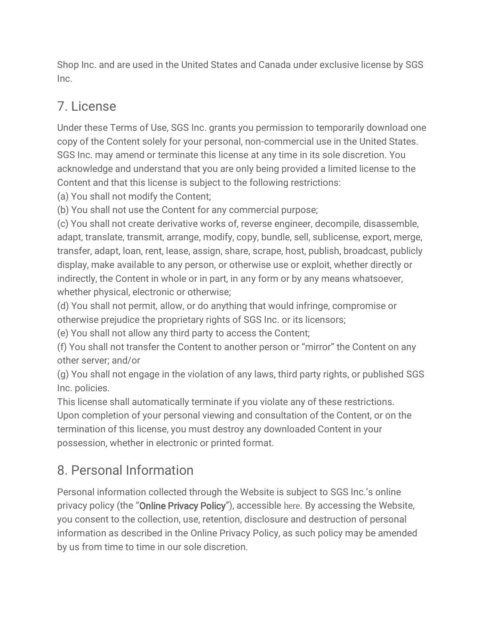Shop Inc. and are used in the United States and Canada under exclusive license by SGS Inc.

### 7. License

Under these Terms of Use, SGS Inc. grants you permission to temporarily download one copy of the Content solely for your personal, non-commercial use in the United States. SGS Inc. may amend or terminate this license at any time in its sole discretion. You acknowledge and understand that you are only being provided a limited license to the Content and that this license is subject to the following restrictions:

(a) You shall not modify the Content;

(b) You shall not use the Content for any commercial purpose;

(c) You shall not create derivative works of, reverse engineer, decompile, disassemble, adapt, translate, transmit, arrange, modify, copy, bundle, sell, sublicense, export, merge, transfer, adapt, loan, rent, lease, assign, share, scrape, host, publish, broadcast, publicly display, make available to any person, or otherwise use or exploit, whether directly or indirectly, the Content in whole or in part, in any form or by any means whatsoever, whether physical, electronic or otherwise;

(d) You shall not permit, allow, or do anything that would infringe, compromise or otherwise prejudice the proprietary rights of SGS Inc. or its licensors;

(e) You shall not allow any third party to access the Content;

(f) You shall not transfer the Content to another person or "mirror" the Content on any other server; and/or

(g) You shall not engage in the violation of any laws, third party rights, or published SGS Inc. policies.

This license shall automatically terminate if you violate any of these restrictions. Upon completion of your personal viewing and consultation of the Content, or on the termination of this license, you must destroy any downloaded Content in your possession, whether in electronic or printed format.

### 8. Personal Information

Personal information collected through the Website is subject to SGS Inc.'s online privacy policy (the "Online Privacy Policy"), accessible [here](https://showergrateshop.com/privacy-policy/). By accessing the Website, you consent to the collection, use, retention, disclosure and destruction of personal information as described in the Online Privacy Policy, as such policy may be amended by us from time to time in our sole discretion.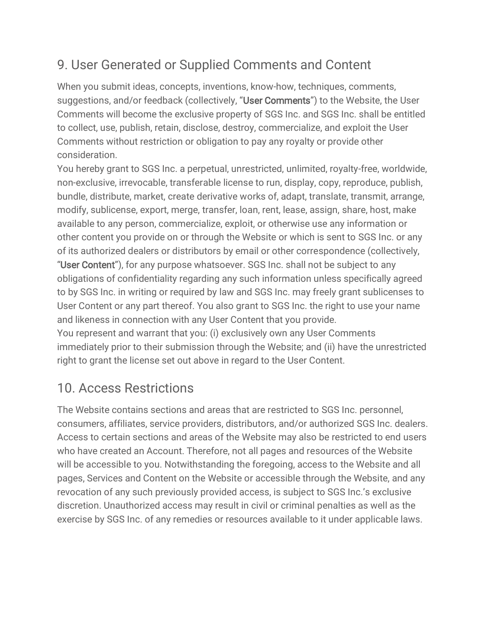### 9. User Generated or Supplied Comments and Content

When you submit ideas, concepts, inventions, know-how, techniques, comments, suggestions, and/or feedback (collectively, "User Comments") to the Website, the User Comments will become the exclusive property of SGS Inc. and SGS Inc. shall be entitled to collect, use, publish, retain, disclose, destroy, commercialize, and exploit the User Comments without restriction or obligation to pay any royalty or provide other consideration.

You hereby grant to SGS Inc. a perpetual, unrestricted, unlimited, royalty-free, worldwide, non-exclusive, irrevocable, transferable license to run, display, copy, reproduce, publish, bundle, distribute, market, create derivative works of, adapt, translate, transmit, arrange, modify, sublicense, export, merge, transfer, loan, rent, lease, assign, share, host, make available to any person, commercialize, exploit, or otherwise use any information or other content you provide on or through the Website or which is sent to SGS Inc. or any of its authorized dealers or distributors by email or other correspondence (collectively, "User Content"), for any purpose whatsoever. SGS Inc. shall not be subject to any obligations of confidentiality regarding any such information unless specifically agreed to by SGS Inc. in writing or required by law and SGS Inc. may freely grant sublicenses to User Content or any part thereof. You also grant to SGS Inc. the right to use your name and likeness in connection with any User Content that you provide.

You represent and warrant that you: (i) exclusively own any User Comments immediately prior to their submission through the Website; and (ii) have the unrestricted right to grant the license set out above in regard to the User Content.

### 10. Access Restrictions

The Website contains sections and areas that are restricted to SGS Inc. personnel, consumers, affiliates, service providers, distributors, and/or authorized SGS Inc. dealers. Access to certain sections and areas of the Website may also be restricted to end users who have created an Account. Therefore, not all pages and resources of the Website will be accessible to you. Notwithstanding the foregoing, access to the Website and all pages, Services and Content on the Website or accessible through the Website, and any revocation of any such previously provided access, is subject to SGS Inc.'s exclusive discretion. Unauthorized access may result in civil or criminal penalties as well as the exercise by SGS Inc. of any remedies or resources available to it under applicable laws.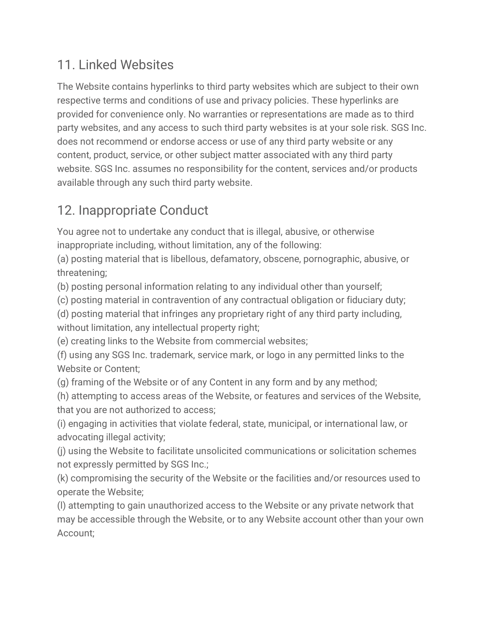### 11. Linked Websites

The Website contains hyperlinks to third party websites which are subject to their own respective terms and conditions of use and privacy policies. These hyperlinks are provided for convenience only. No warranties or representations are made as to third party websites, and any access to such third party websites is at your sole risk. SGS Inc. does not recommend or endorse access or use of any third party website or any content, product, service, or other subject matter associated with any third party website. SGS Inc. assumes no responsibility for the content, services and/or products available through any such third party website.

### 12. Inappropriate Conduct

You agree not to undertake any conduct that is illegal, abusive, or otherwise inappropriate including, without limitation, any of the following:

(a) posting material that is libellous, defamatory, obscene, pornographic, abusive, or threatening;

(b) posting personal information relating to any individual other than yourself;

(c) posting material in contravention of any contractual obligation or fiduciary duty;

(d) posting material that infringes any proprietary right of any third party including, without limitation, any intellectual property right;

(e) creating links to the Website from commercial websites;

(f) using any SGS Inc. trademark, service mark, or logo in any permitted links to the Website or Content;

(g) framing of the Website or of any Content in any form and by any method;

(h) attempting to access areas of the Website, or features and services of the Website, that you are not authorized to access;

(i) engaging in activities that violate federal, state, municipal, or international law, or advocating illegal activity;

(j) using the Website to facilitate unsolicited communications or solicitation schemes not expressly permitted by SGS Inc.;

(k) compromising the security of the Website or the facilities and/or resources used to operate the Website;

(l) attempting to gain unauthorized access to the Website or any private network that may be accessible through the Website, or to any Website account other than your own Account;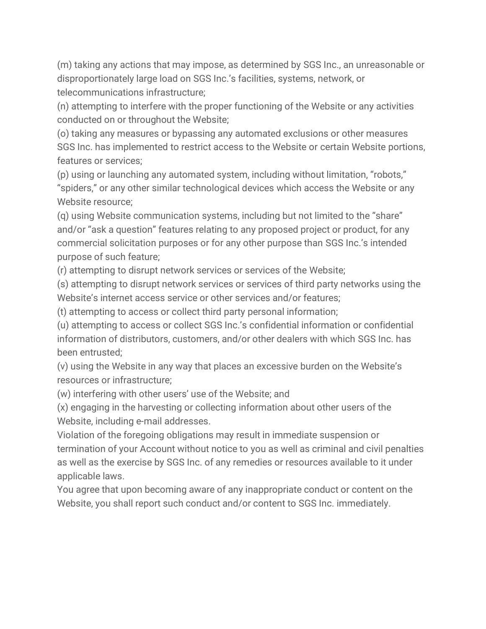(m) taking any actions that may impose, as determined by SGS Inc., an unreasonable or disproportionately large load on SGS Inc.'s facilities, systems, network, or telecommunications infrastructure;

(n) attempting to interfere with the proper functioning of the Website or any activities conducted on or throughout the Website;

(o) taking any measures or bypassing any automated exclusions or other measures SGS Inc. has implemented to restrict access to the Website or certain Website portions, features or services;

(p) using or launching any automated system, including without limitation, "robots," "spiders," or any other similar technological devices which access the Website or any Website resource;

(q) using Website communication systems, including but not limited to the "share" and/or "ask a question" features relating to any proposed project or product, for any commercial solicitation purposes or for any other purpose than SGS Inc.'s intended purpose of such feature;

(r) attempting to disrupt network services or services of the Website;

(s) attempting to disrupt network services or services of third party networks using the Website's internet access service or other services and/or features;

(t) attempting to access or collect third party personal information;

(u) attempting to access or collect SGS Inc.'s confidential information or confidential information of distributors, customers, and/or other dealers with which SGS Inc. has been entrusted;

(v) using the Website in any way that places an excessive burden on the Website's resources or infrastructure;

(w) interfering with other users' use of the Website; and

(x) engaging in the harvesting or collecting information about other users of the Website, including e-mail addresses.

Violation of the foregoing obligations may result in immediate suspension or termination of your Account without notice to you as well as criminal and civil penalties as well as the exercise by SGS Inc. of any remedies or resources available to it under applicable laws.

You agree that upon becoming aware of any inappropriate conduct or content on the Website, you shall report such conduct and/or content to SGS Inc. immediately.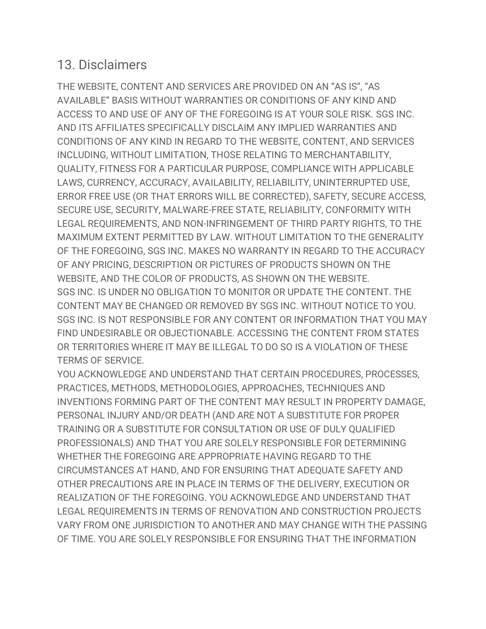#### 13. Disclaimers

THE WEBSITE, CONTENT AND SERVICES ARE PROVIDED ON AN "AS IS", "AS AVAILABLE" BASIS WITHOUT WARRANTIES OR CONDITIONS OF ANY KIND AND ACCESS TO AND USE OF ANY OF THE FOREGOING IS AT YOUR SOLE RISK. SGS INC. AND ITS AFFILIATES SPECIFICALLY DISCLAIM ANY IMPLIED WARRANTIES AND CONDITIONS OF ANY KIND IN REGARD TO THE WEBSITE, CONTENT, AND SERVICES INCLUDING, WITHOUT LIMITATION, THOSE RELATING TO MERCHANTABILITY, QUALITY, FITNESS FOR A PARTICULAR PURPOSE, COMPLIANCE WITH APPLICABLE LAWS, CURRENCY, ACCURACY, AVAILABILITY, RELIABILITY, UNINTERRUPTED USE, ERROR FREE USE (OR THAT ERRORS WILL BE CORRECTED), SAFETY, SECURE ACCESS, SECURE USE, SECURITY, MALWARE-FREE STATE, RELIABILITY, CONFORMITY WITH LEGAL REQUIREMENTS, AND NON-INFRINGEMENT OF THIRD PARTY RIGHTS, TO THE MAXIMUM EXTENT PERMITTED BY LAW. WITHOUT LIMITATION TO THE GENERALITY OF THE FOREGOING, SGS INC. MAKES NO WARRANTY IN REGARD TO THE ACCURACY OF ANY PRICING, DESCRIPTION OR PICTURES OF PRODUCTS SHOWN ON THE WEBSITE, AND THE COLOR OF PRODUCTS, AS SHOWN ON THE WEBSITE. SGS INC. IS UNDER NO OBLIGATION TO MONITOR OR UPDATE THE CONTENT. THE CONTENT MAY BE CHANGED OR REMOVED BY SGS INC. WITHOUT NOTICE TO YOU. SGS INC. IS NOT RESPONSIBLE FOR ANY CONTENT OR INFORMATION THAT YOU MAY FIND UNDESIRABLE OR OBJECTIONABLE. ACCESSING THE CONTENT FROM STATES OR TERRITORIES WHERE IT MAY BE ILLEGAL TO DO SO IS A VIOLATION OF THESE TERMS OF SERVICE.

YOU ACKNOWLEDGE AND UNDERSTAND THAT CERTAIN PROCEDURES, PROCESSES, PRACTICES, METHODS, METHODOLOGIES, APPROACHES, TECHNIQUES AND INVENTIONS FORMING PART OF THE CONTENT MAY RESULT IN PROPERTY DAMAGE, PERSONAL INJURY AND/OR DEATH (AND ARE NOT A SUBSTITUTE FOR PROPER TRAINING OR A SUBSTITUTE FOR CONSULTATION OR USE OF DULY QUALIFIED PROFESSIONALS) AND THAT YOU ARE SOLELY RESPONSIBLE FOR DETERMINING WHETHER THE FOREGOING ARE APPROPRIATE HAVING REGARD TO THE CIRCUMSTANCES AT HAND, AND FOR ENSURING THAT ADEQUATE SAFETY AND OTHER PRECAUTIONS ARE IN PLACE IN TERMS OF THE DELIVERY, EXECUTION OR REALIZATION OF THE FOREGOING. YOU ACKNOWLEDGE AND UNDERSTAND THAT LEGAL REQUIREMENTS IN TERMS OF RENOVATION AND CONSTRUCTION PROJECTS VARY FROM ONE JURISDICTION TO ANOTHER AND MAY CHANGE WITH THE PASSING OF TIME. YOU ARE SOLELY RESPONSIBLE FOR ENSURING THAT THE INFORMATION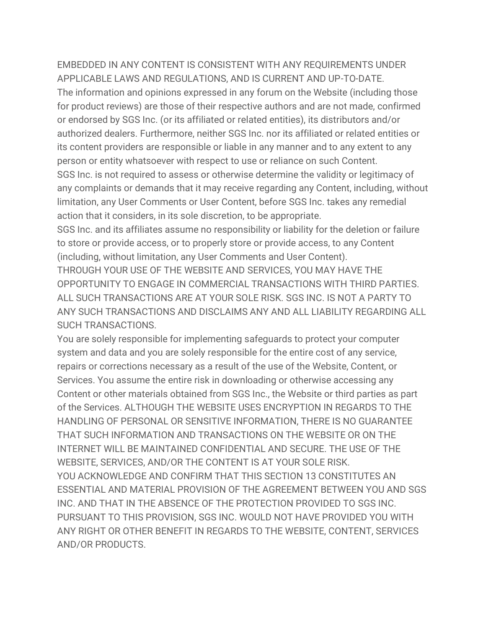#### EMBEDDED IN ANY CONTENT IS CONSISTENT WITH ANY REQUIREMENTS UNDER APPLICABLE LAWS AND REGULATIONS, AND IS CURRENT AND UP-TO-DATE.

The information and opinions expressed in any forum on the Website (including those for product reviews) are those of their respective authors and are not made, confirmed or endorsed by SGS Inc. (or its affiliated or related entities), its distributors and/or authorized dealers. Furthermore, neither SGS Inc. nor its affiliated or related entities or its content providers are responsible or liable in any manner and to any extent to any person or entity whatsoever with respect to use or reliance on such Content.

SGS Inc. is not required to assess or otherwise determine the validity or legitimacy of any complaints or demands that it may receive regarding any Content, including, without limitation, any User Comments or User Content, before SGS Inc. takes any remedial action that it considers, in its sole discretion, to be appropriate.

SGS Inc. and its affiliates assume no responsibility or liability for the deletion or failure to store or provide access, or to properly store or provide access, to any Content (including, without limitation, any User Comments and User Content).

THROUGH YOUR USE OF THE WEBSITE AND SERVICES, YOU MAY HAVE THE OPPORTUNITY TO ENGAGE IN COMMERCIAL TRANSACTIONS WITH THIRD PARTIES. ALL SUCH TRANSACTIONS ARE AT YOUR SOLE RISK. SGS INC. IS NOT A PARTY TO ANY SUCH TRANSACTIONS AND DISCLAIMS ANY AND ALL LIABILITY REGARDING ALL SUCH TRANSACTIONS.

You are solely responsible for implementing safeguards to protect your computer system and data and you are solely responsible for the entire cost of any service, repairs or corrections necessary as a result of the use of the Website, Content, or Services. You assume the entire risk in downloading or otherwise accessing any Content or other materials obtained from SGS Inc., the Website or third parties as part of the Services. ALTHOUGH THE WEBSITE USES ENCRYPTION IN REGARDS TO THE HANDLING OF PERSONAL OR SENSITIVE INFORMATION, THERE IS NO GUARANTEE THAT SUCH INFORMATION AND TRANSACTIONS ON THE WEBSITE OR ON THE INTERNET WILL BE MAINTAINED CONFIDENTIAL AND SECURE. THE USE OF THE WEBSITE, SERVICES, AND/OR THE CONTENT IS AT YOUR SOLE RISK. YOU ACKNOWLEDGE AND CONFIRM THAT THIS SECTION 13 CONSTITUTES AN ESSENTIAL AND MATERIAL PROVISION OF THE AGREEMENT BETWEEN YOU AND SGS INC. AND THAT IN THE ABSENCE OF THE PROTECTION PROVIDED TO SGS INC. PURSUANT TO THIS PROVISION, SGS INC. WOULD NOT HAVE PROVIDED YOU WITH ANY RIGHT OR OTHER BENEFIT IN REGARDS TO THE WEBSITE, CONTENT, SERVICES AND/OR PRODUCTS.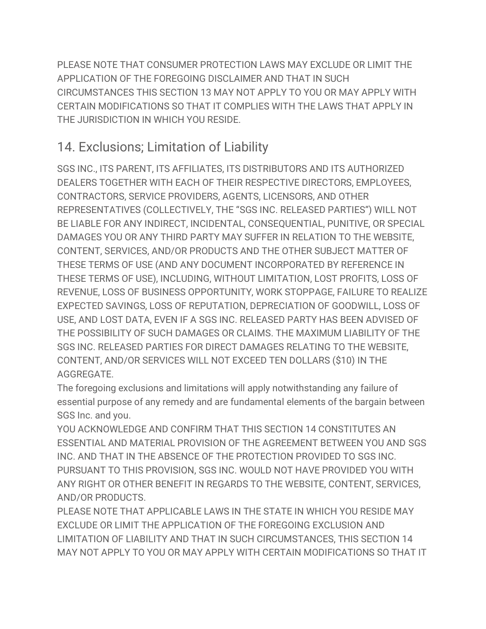PLEASE NOTE THAT CONSUMER PROTECTION LAWS MAY EXCLUDE OR LIMIT THE APPLICATION OF THE FOREGOING DISCLAIMER AND THAT IN SUCH CIRCUMSTANCES THIS SECTION 13 MAY NOT APPLY TO YOU OR MAY APPLY WITH CERTAIN MODIFICATIONS SO THAT IT COMPLIES WITH THE LAWS THAT APPLY IN THE JURISDICTION IN WHICH YOU RESIDE.

### 14. Exclusions; Limitation of Liability

SGS INC., ITS PARENT, ITS AFFILIATES, ITS DISTRIBUTORS AND ITS AUTHORIZED DEALERS TOGETHER WITH EACH OF THEIR RESPECTIVE DIRECTORS, EMPLOYEES, CONTRACTORS, SERVICE PROVIDERS, AGENTS, LICENSORS, AND OTHER REPRESENTATIVES (COLLECTIVELY, THE "SGS INC. RELEASED PARTIES") WILL NOT BE LIABLE FOR ANY INDIRECT, INCIDENTAL, CONSEQUENTIAL, PUNITIVE, OR SPECIAL DAMAGES YOU OR ANY THIRD PARTY MAY SUFFER IN RELATION TO THE WEBSITE, CONTENT, SERVICES, AND/OR PRODUCTS AND THE OTHER SUBJECT MATTER OF THESE TERMS OF USE (AND ANY DOCUMENT INCORPORATED BY REFERENCE IN THESE TERMS OF USE), INCLUDING, WITHOUT LIMITATION, LOST PROFITS, LOSS OF REVENUE, LOSS OF BUSINESS OPPORTUNITY, WORK STOPPAGE, FAILURE TO REALIZE EXPECTED SAVINGS, LOSS OF REPUTATION, DEPRECIATION OF GOODWILL, LOSS OF USE, AND LOST DATA, EVEN IF A SGS INC. RELEASED PARTY HAS BEEN ADVISED OF THE POSSIBILITY OF SUCH DAMAGES OR CLAIMS. THE MAXIMUM LIABILITY OF THE SGS INC. RELEASED PARTIES FOR DIRECT DAMAGES RELATING TO THE WEBSITE, CONTENT, AND/OR SERVICES WILL NOT EXCEED TEN DOLLARS (\$10) IN THE AGGREGATE.

The foregoing exclusions and limitations will apply notwithstanding any failure of essential purpose of any remedy and are fundamental elements of the bargain between SGS Inc. and you.

YOU ACKNOWLEDGE AND CONFIRM THAT THIS SECTION 14 CONSTITUTES AN ESSENTIAL AND MATERIAL PROVISION OF THE AGREEMENT BETWEEN YOU AND SGS INC. AND THAT IN THE ABSENCE OF THE PROTECTION PROVIDED TO SGS INC. PURSUANT TO THIS PROVISION, SGS INC. WOULD NOT HAVE PROVIDED YOU WITH ANY RIGHT OR OTHER BENEFIT IN REGARDS TO THE WEBSITE, CONTENT, SERVICES, AND/OR PRODUCTS.

PLEASE NOTE THAT APPLICABLE LAWS IN THE STATE IN WHICH YOU RESIDE MAY EXCLUDE OR LIMIT THE APPLICATION OF THE FOREGOING EXCLUSION AND LIMITATION OF LIABILITY AND THAT IN SUCH CIRCUMSTANCES, THIS SECTION 14 MAY NOT APPLY TO YOU OR MAY APPLY WITH CERTAIN MODIFICATIONS SO THAT IT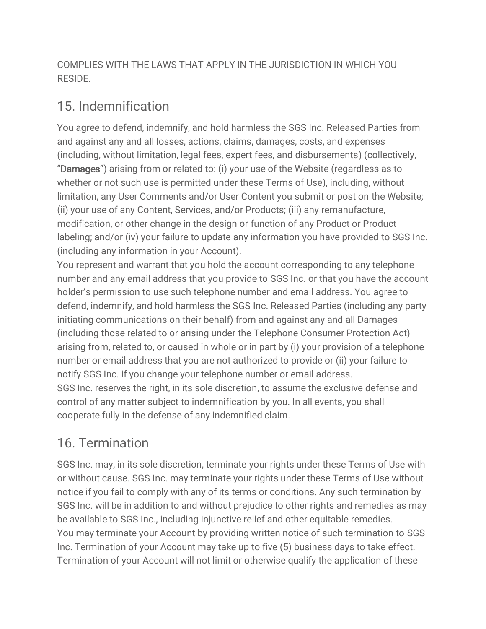COMPLIES WITH THE LAWS THAT APPLY IN THE JURISDICTION IN WHICH YOU RESIDE.

#### 15. Indemnification

You agree to defend, indemnify, and hold harmless the SGS Inc. Released Parties from and against any and all losses, actions, claims, damages, costs, and expenses (including, without limitation, legal fees, expert fees, and disbursements) (collectively, "Damages") arising from or related to: (i) your use of the Website (regardless as to whether or not such use is permitted under these Terms of Use), including, without limitation, any User Comments and/or User Content you submit or post on the Website; (ii) your use of any Content, Services, and/or Products; (iii) any remanufacture, modification, or other change in the design or function of any Product or Product labeling; and/or (iv) your failure to update any information you have provided to SGS Inc. (including any information in your Account).

You represent and warrant that you hold the account corresponding to any telephone number and any email address that you provide to SGS Inc. or that you have the account holder's permission to use such telephone number and email address. You agree to defend, indemnify, and hold harmless the SGS Inc. Released Parties (including any party initiating communications on their behalf) from and against any and all Damages (including those related to or arising under the Telephone Consumer Protection Act) arising from, related to, or caused in whole or in part by (i) your provision of a telephone number or email address that you are not authorized to provide or (ii) your failure to notify SGS Inc. if you change your telephone number or email address. SGS Inc. reserves the right, in its sole discretion, to assume the exclusive defense and control of any matter subject to indemnification by you. In all events, you shall cooperate fully in the defense of any indemnified claim.

### 16. Termination

SGS Inc. may, in its sole discretion, terminate your rights under these Terms of Use with or without cause. SGS Inc. may terminate your rights under these Terms of Use without notice if you fail to comply with any of its terms or conditions. Any such termination by SGS Inc. will be in addition to and without prejudice to other rights and remedies as may be available to SGS Inc., including injunctive relief and other equitable remedies. You may terminate your Account by providing written notice of such termination to SGS Inc. Termination of your Account may take up to five (5) business days to take effect. Termination of your Account will not limit or otherwise qualify the application of these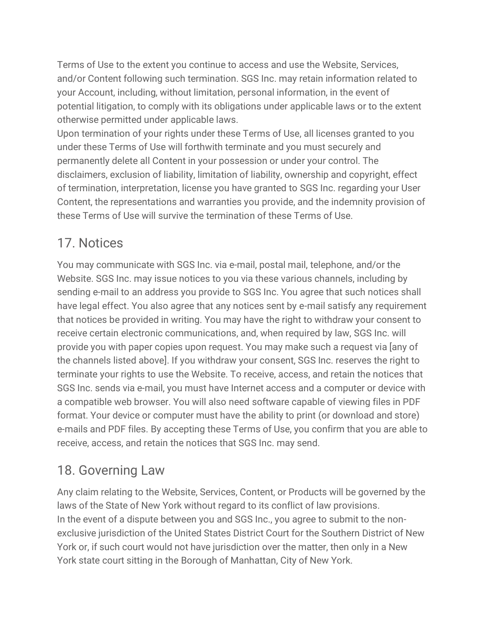Terms of Use to the extent you continue to access and use the Website, Services, and/or Content following such termination. SGS Inc. may retain information related to your Account, including, without limitation, personal information, in the event of potential litigation, to comply with its obligations under applicable laws or to the extent otherwise permitted under applicable laws.

Upon termination of your rights under these Terms of Use, all licenses granted to you under these Terms of Use will forthwith terminate and you must securely and permanently delete all Content in your possession or under your control. The disclaimers, exclusion of liability, limitation of liability, ownership and copyright, effect of termination, interpretation, license you have granted to SGS Inc. regarding your User Content, the representations and warranties you provide, and the indemnity provision of these Terms of Use will survive the termination of these Terms of Use.

### 17. Notices

You may communicate with SGS Inc. via e-mail, postal mail, telephone, and/or the Website. SGS Inc. may issue notices to you via these various channels, including by sending e-mail to an address you provide to SGS Inc. You agree that such notices shall have legal effect. You also agree that any notices sent by e-mail satisfy any requirement that notices be provided in writing. You may have the right to withdraw your consent to receive certain electronic communications, and, when required by law, SGS Inc. will provide you with paper copies upon request. You may make such a request via [any of the channels listed above]. If you withdraw your consent, SGS Inc. reserves the right to terminate your rights to use the Website. To receive, access, and retain the notices that SGS Inc. sends via e-mail, you must have Internet access and a computer or device with a compatible web browser. You will also need software capable of viewing files in PDF format. Your device or computer must have the ability to print (or download and store) e-mails and PDF files. By accepting these Terms of Use, you confirm that you are able to receive, access, and retain the notices that SGS Inc. may send.

### 18. Governing Law

Any claim relating to the Website, Services, Content, or Products will be governed by the laws of the State of New York without regard to its conflict of law provisions. In the event of a dispute between you and SGS Inc., you agree to submit to the nonexclusive jurisdiction of the United States District Court for the Southern District of New York or, if such court would not have jurisdiction over the matter, then only in a New York state court sitting in the Borough of Manhattan, City of New York.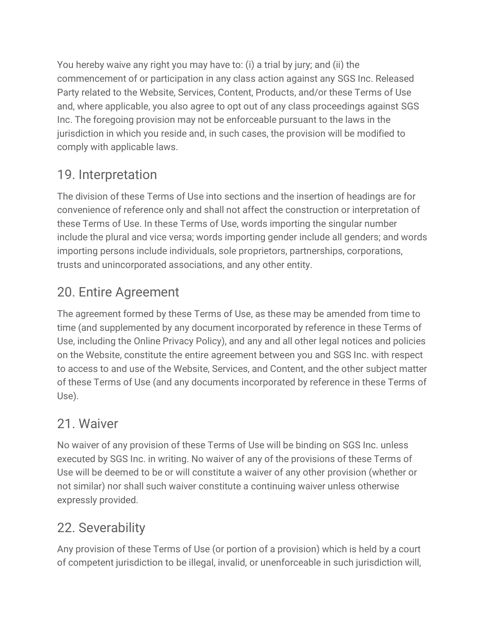You hereby waive any right you may have to: (i) a trial by jury; and (ii) the commencement of or participation in any class action against any SGS Inc. Released Party related to the Website, Services, Content, Products, and/or these Terms of Use and, where applicable, you also agree to opt out of any class proceedings against SGS Inc. The foregoing provision may not be enforceable pursuant to the laws in the jurisdiction in which you reside and, in such cases, the provision will be modified to comply with applicable laws.

### 19. Interpretation

The division of these Terms of Use into sections and the insertion of headings are for convenience of reference only and shall not affect the construction or interpretation of these Terms of Use. In these Terms of Use, words importing the singular number include the plural and vice versa; words importing gender include all genders; and words importing persons include individuals, sole proprietors, partnerships, corporations, trusts and unincorporated associations, and any other entity.

### 20. Entire Agreement

The agreement formed by these Terms of Use, as these may be amended from time to time (and supplemented by any document incorporated by reference in these Terms of Use, including the Online Privacy Policy), and any and all other legal notices and policies on the Website, constitute the entire agreement between you and SGS Inc. with respect to access to and use of the Website, Services, and Content, and the other subject matter of these Terms of Use (and any documents incorporated by reference in these Terms of Use).

### 21. Waiver

No waiver of any provision of these Terms of Use will be binding on SGS Inc. unless executed by SGS Inc. in writing. No waiver of any of the provisions of these Terms of Use will be deemed to be or will constitute a waiver of any other provision (whether or not similar) nor shall such waiver constitute a continuing waiver unless otherwise expressly provided.

## 22. Severability

Any provision of these Terms of Use (or portion of a provision) which is held by a court of competent jurisdiction to be illegal, invalid, or unenforceable in such jurisdiction will,